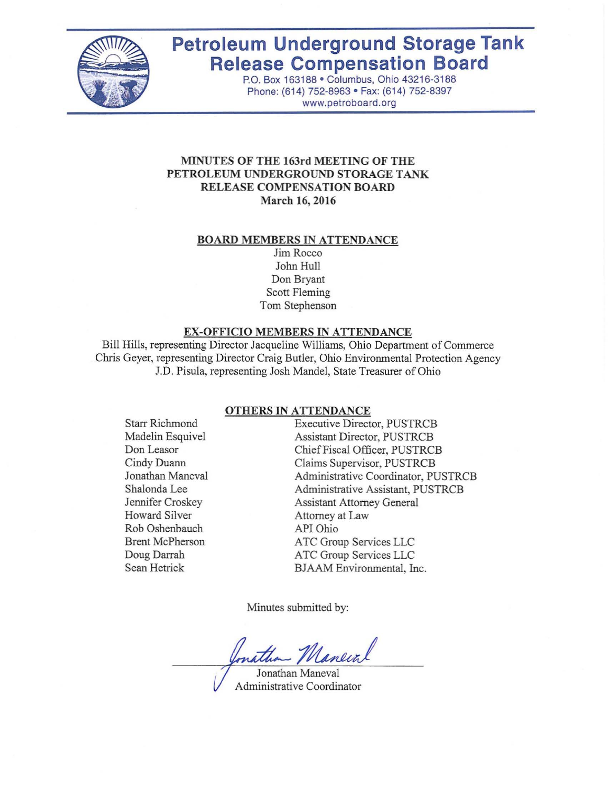

# **Petroleum Underground Storage Tank Release Compensation Board**

P.O. Box 163188· Columbus, Ohio 43216-3188 Phone: (614) 752-8963 · Fax: (614) 752-8397 www.petroboard.org

## **MINUTES OF THE 163rd MEETING OF THE PETROLEUM UNDERGROUND STORAGE TANK RELEASE COMPENSATION BOARD March 16,2016**

#### **BOARD MEMBERS IN ATTENDANCE**

Jim Rocco John Hull Don Bryant Scott Fleming Tom Stephenson

#### **EX-OFFICIO MEMBERS IN ATTENDANCE**

Bill Hills, representing Director Jacqueline Williams, Ohio Department of Commerce Chris Geyer, representing Director Craig Butler, Ohio Environmental Protection Agency J.D. Pisula, representing Josh Mandel, State Treasurer of Ohio

#### **OTHERS IN ATTENDANCE**

Starr Richmond Madelin Esquivel Don Leasor Cindy Duann Jonathan Maneval Shalonda Lee Jennifer Croskey Howard Silver Rob Oshenbauch Brent McPherson Doug Darrah Sean Hetrick

Executive Director, PUSTRCB Assistant Director, PUSTRCB ChiefFiscal Officer, PUSTRCB Claims Supervisor, PUSTRCB Administrative Coordinator, PUSTRCB Administrative Assistant, PUSTRCB Assistant Attorney General Attorney at Law API Ohio ATC Group Services LLC ATC Group Services LLC BJAAM Environmental, Inc.

Minutes submitted by:

mathan Maneir

Jonathan Maneval Administrative Coordinator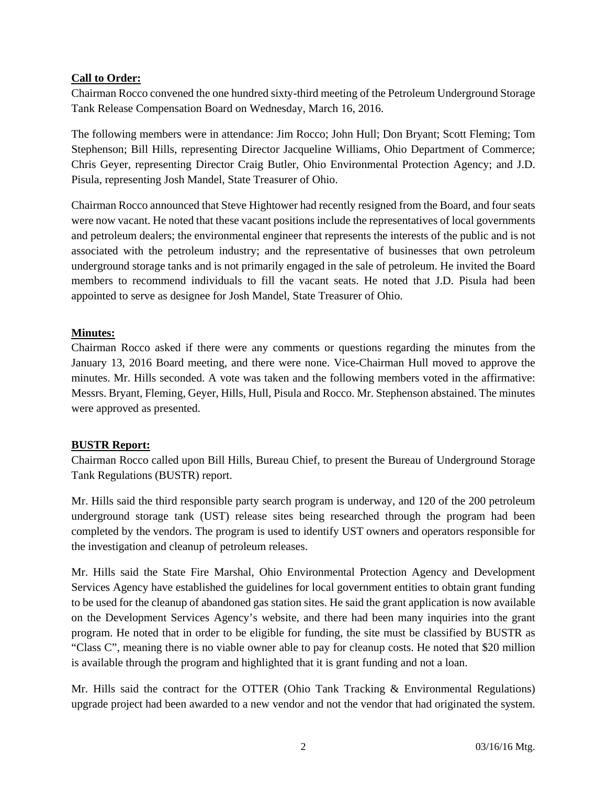# **Call to Order:**

Chairman Rocco convened the one hundred sixty-third meeting of the Petroleum Underground Storage Tank Release Compensation Board on Wednesday, March 16, 2016.

The following members were in attendance: Jim Rocco; John Hull; Don Bryant; Scott Fleming; Tom Stephenson; Bill Hills, representing Director Jacqueline Williams, Ohio Department of Commerce; Chris Geyer, representing Director Craig Butler, Ohio Environmental Protection Agency; and J.D. Pisula, representing Josh Mandel, State Treasurer of Ohio.

Chairman Rocco announced that Steve Hightower had recently resigned from the Board, and four seats were now vacant. He noted that these vacant positions include the representatives of local governments and petroleum dealers; the environmental engineer that represents the interests of the public and is not associated with the petroleum industry; and the representative of businesses that own petroleum underground storage tanks and is not primarily engaged in the sale of petroleum. He invited the Board members to recommend individuals to fill the vacant seats. He noted that J.D. Pisula had been appointed to serve as designee for Josh Mandel, State Treasurer of Ohio.

# **Minutes:**

Chairman Rocco asked if there were any comments or questions regarding the minutes from the January 13, 2016 Board meeting, and there were none. Vice-Chairman Hull moved to approve the minutes. Mr. Hills seconded. A vote was taken and the following members voted in the affirmative: Messrs. Bryant, Fleming, Geyer, Hills, Hull, Pisula and Rocco. Mr. Stephenson abstained. The minutes were approved as presented.

## **BUSTR Report:**

Chairman Rocco called upon Bill Hills, Bureau Chief, to present the Bureau of Underground Storage Tank Regulations (BUSTR) report.

Mr. Hills said the third responsible party search program is underway, and 120 of the 200 petroleum underground storage tank (UST) release sites being researched through the program had been completed by the vendors. The program is used to identify UST owners and operators responsible for the investigation and cleanup of petroleum releases.

Mr. Hills said the State Fire Marshal, Ohio Environmental Protection Agency and Development Services Agency have established the guidelines for local government entities to obtain grant funding to be used for the cleanup of abandoned gas station sites. He said the grant application is now available on the Development Services Agency's website, and there had been many inquiries into the grant program. He noted that in order to be eligible for funding, the site must be classified by BUSTR as "Class C", meaning there is no viable owner able to pay for cleanup costs. He noted that \$20 million is available through the program and highlighted that it is grant funding and not a loan.

Mr. Hills said the contract for the OTTER (Ohio Tank Tracking  $\&$  Environmental Regulations) upgrade project had been awarded to a new vendor and not the vendor that had originated the system.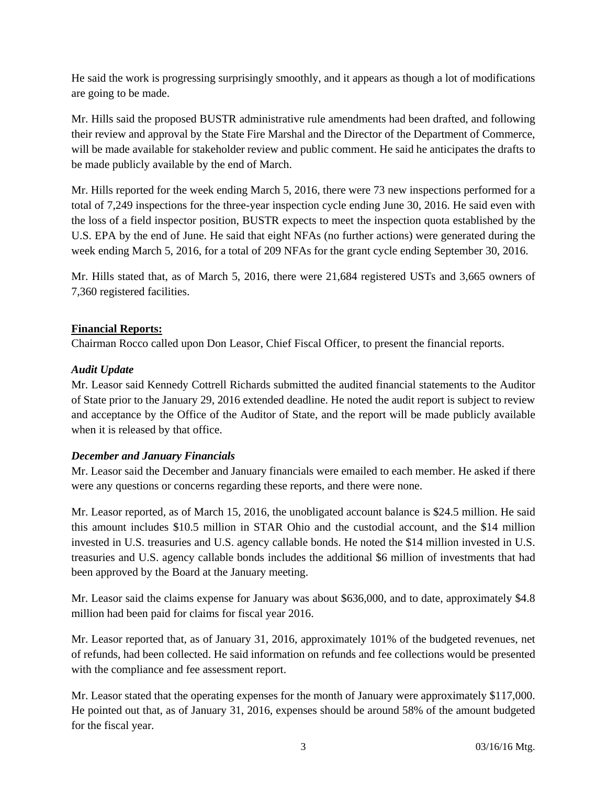He said the work is progressing surprisingly smoothly, and it appears as though a lot of modifications are going to be made.

Mr. Hills said the proposed BUSTR administrative rule amendments had been drafted, and following their review and approval by the State Fire Marshal and the Director of the Department of Commerce, will be made available for stakeholder review and public comment. He said he anticipates the drafts to be made publicly available by the end of March.

Mr. Hills reported for the week ending March 5, 2016, there were 73 new inspections performed for a total of 7,249 inspections for the three-year inspection cycle ending June 30, 2016. He said even with the loss of a field inspector position, BUSTR expects to meet the inspection quota established by the U.S. EPA by the end of June. He said that eight NFAs (no further actions) were generated during the week ending March 5, 2016, for a total of 209 NFAs for the grant cycle ending September 30, 2016.

Mr. Hills stated that, as of March 5, 2016, there were 21,684 registered USTs and 3,665 owners of 7,360 registered facilities.

# **Financial Reports:**

Chairman Rocco called upon Don Leasor, Chief Fiscal Officer, to present the financial reports.

# *Audit Update*

Mr. Leasor said Kennedy Cottrell Richards submitted the audited financial statements to the Auditor of State prior to the January 29, 2016 extended deadline. He noted the audit report is subject to review and acceptance by the Office of the Auditor of State, and the report will be made publicly available when it is released by that office.

# *December and January Financials*

Mr. Leasor said the December and January financials were emailed to each member. He asked if there were any questions or concerns regarding these reports, and there were none.

Mr. Leasor reported, as of March 15, 2016, the unobligated account balance is \$24.5 million. He said this amount includes \$10.5 million in STAR Ohio and the custodial account, and the \$14 million invested in U.S. treasuries and U.S. agency callable bonds. He noted the \$14 million invested in U.S. treasuries and U.S. agency callable bonds includes the additional \$6 million of investments that had been approved by the Board at the January meeting.

Mr. Leasor said the claims expense for January was about \$636,000, and to date, approximately \$4.8 million had been paid for claims for fiscal year 2016.

Mr. Leasor reported that, as of January 31, 2016, approximately 101% of the budgeted revenues, net of refunds, had been collected. He said information on refunds and fee collections would be presented with the compliance and fee assessment report.

Mr. Leasor stated that the operating expenses for the month of January were approximately \$117,000. He pointed out that, as of January 31, 2016, expenses should be around 58% of the amount budgeted for the fiscal year.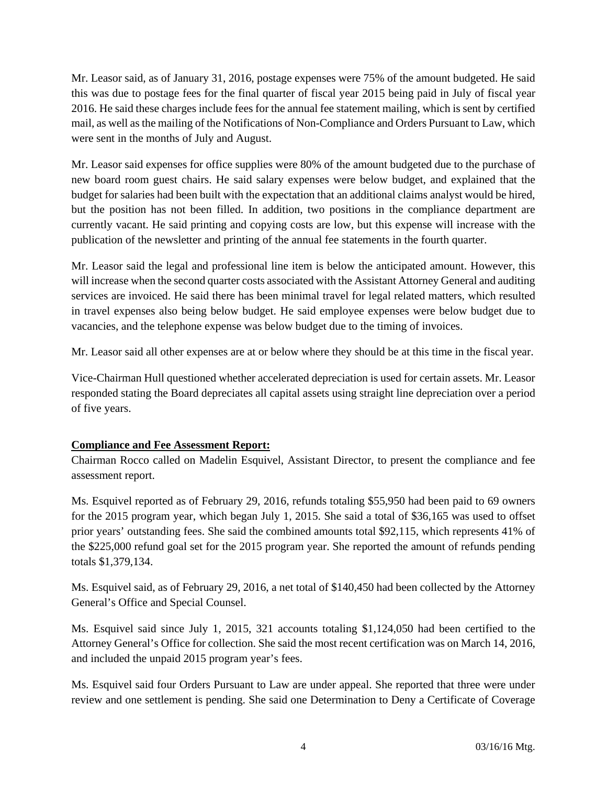Mr. Leasor said, as of January 31, 2016, postage expenses were 75% of the amount budgeted. He said this was due to postage fees for the final quarter of fiscal year 2015 being paid in July of fiscal year 2016. He said these charges include fees for the annual fee statement mailing, which is sent by certified mail, as well as the mailing of the Notifications of Non-Compliance and Orders Pursuant to Law, which were sent in the months of July and August.

Mr. Leasor said expenses for office supplies were 80% of the amount budgeted due to the purchase of new board room guest chairs. He said salary expenses were below budget, and explained that the budget for salaries had been built with the expectation that an additional claims analyst would be hired, but the position has not been filled. In addition, two positions in the compliance department are currently vacant. He said printing and copying costs are low, but this expense will increase with the publication of the newsletter and printing of the annual fee statements in the fourth quarter.

Mr. Leasor said the legal and professional line item is below the anticipated amount. However, this will increase when the second quarter costs associated with the Assistant Attorney General and auditing services are invoiced. He said there has been minimal travel for legal related matters, which resulted in travel expenses also being below budget. He said employee expenses were below budget due to vacancies, and the telephone expense was below budget due to the timing of invoices.

Mr. Leasor said all other expenses are at or below where they should be at this time in the fiscal year.

Vice-Chairman Hull questioned whether accelerated depreciation is used for certain assets. Mr. Leasor responded stating the Board depreciates all capital assets using straight line depreciation over a period of five years.

# **Compliance and Fee Assessment Report:**

Chairman Rocco called on Madelin Esquivel, Assistant Director, to present the compliance and fee assessment report.

Ms. Esquivel reported as of February 29, 2016, refunds totaling \$55,950 had been paid to 69 owners for the 2015 program year, which began July 1, 2015. She said a total of \$36,165 was used to offset prior years' outstanding fees. She said the combined amounts total \$92,115, which represents 41% of the \$225,000 refund goal set for the 2015 program year. She reported the amount of refunds pending totals \$1,379,134.

Ms. Esquivel said, as of February 29, 2016, a net total of \$140,450 had been collected by the Attorney General's Office and Special Counsel.

Ms. Esquivel said since July 1, 2015, 321 accounts totaling \$1,124,050 had been certified to the Attorney General's Office for collection. She said the most recent certification was on March 14, 2016, and included the unpaid 2015 program year's fees.

Ms. Esquivel said four Orders Pursuant to Law are under appeal. She reported that three were under review and one settlement is pending. She said one Determination to Deny a Certificate of Coverage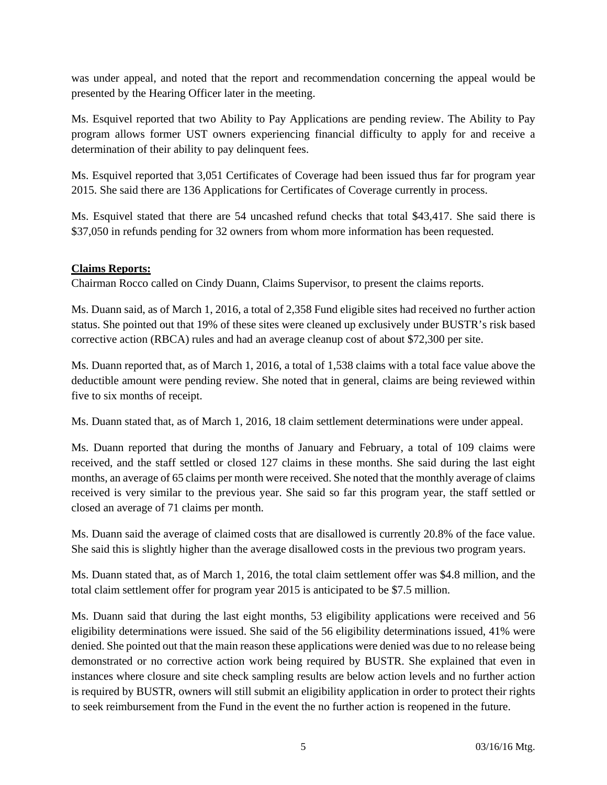was under appeal, and noted that the report and recommendation concerning the appeal would be presented by the Hearing Officer later in the meeting.

Ms. Esquivel reported that two Ability to Pay Applications are pending review. The Ability to Pay program allows former UST owners experiencing financial difficulty to apply for and receive a determination of their ability to pay delinquent fees.

Ms. Esquivel reported that 3,051 Certificates of Coverage had been issued thus far for program year 2015. She said there are 136 Applications for Certificates of Coverage currently in process.

Ms. Esquivel stated that there are 54 uncashed refund checks that total \$43,417. She said there is \$37,050 in refunds pending for 32 owners from whom more information has been requested.

## **Claims Reports:**

Chairman Rocco called on Cindy Duann, Claims Supervisor, to present the claims reports.

Ms. Duann said, as of March 1, 2016, a total of 2,358 Fund eligible sites had received no further action status. She pointed out that 19% of these sites were cleaned up exclusively under BUSTR's risk based corrective action (RBCA) rules and had an average cleanup cost of about \$72,300 per site.

Ms. Duann reported that, as of March 1, 2016, a total of 1,538 claims with a total face value above the deductible amount were pending review. She noted that in general, claims are being reviewed within five to six months of receipt.

Ms. Duann stated that, as of March 1, 2016, 18 claim settlement determinations were under appeal.

Ms. Duann reported that during the months of January and February, a total of 109 claims were received, and the staff settled or closed 127 claims in these months. She said during the last eight months, an average of 65 claims per month were received. She noted that the monthly average of claims received is very similar to the previous year. She said so far this program year, the staff settled or closed an average of 71 claims per month.

Ms. Duann said the average of claimed costs that are disallowed is currently 20.8% of the face value. She said this is slightly higher than the average disallowed costs in the previous two program years.

Ms. Duann stated that, as of March 1, 2016, the total claim settlement offer was \$4.8 million, and the total claim settlement offer for program year 2015 is anticipated to be \$7.5 million.

Ms. Duann said that during the last eight months, 53 eligibility applications were received and 56 eligibility determinations were issued. She said of the 56 eligibility determinations issued, 41% were denied. She pointed out that the main reason these applications were denied was due to no release being demonstrated or no corrective action work being required by BUSTR. She explained that even in instances where closure and site check sampling results are below action levels and no further action is required by BUSTR, owners will still submit an eligibility application in order to protect their rights to seek reimbursement from the Fund in the event the no further action is reopened in the future.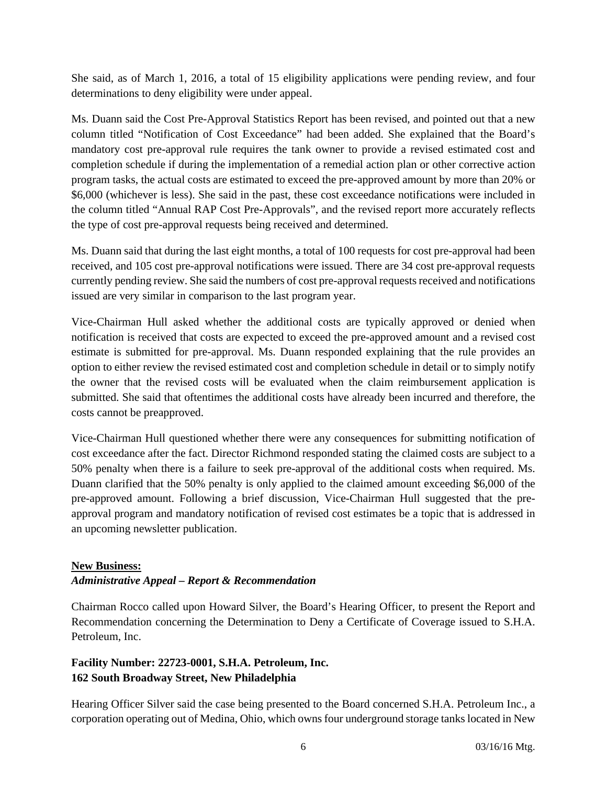She said, as of March 1, 2016, a total of 15 eligibility applications were pending review, and four determinations to deny eligibility were under appeal.

Ms. Duann said the Cost Pre-Approval Statistics Report has been revised, and pointed out that a new column titled "Notification of Cost Exceedance" had been added. She explained that the Board's mandatory cost pre-approval rule requires the tank owner to provide a revised estimated cost and completion schedule if during the implementation of a remedial action plan or other corrective action program tasks, the actual costs are estimated to exceed the pre-approved amount by more than 20% or \$6,000 (whichever is less). She said in the past, these cost exceedance notifications were included in the column titled "Annual RAP Cost Pre-Approvals", and the revised report more accurately reflects the type of cost pre-approval requests being received and determined.

Ms. Duann said that during the last eight months, a total of 100 requests for cost pre-approval had been received, and 105 cost pre-approval notifications were issued. There are 34 cost pre-approval requests currently pending review. She said the numbers of cost pre-approval requests received and notifications issued are very similar in comparison to the last program year.

Vice-Chairman Hull asked whether the additional costs are typically approved or denied when notification is received that costs are expected to exceed the pre-approved amount and a revised cost estimate is submitted for pre-approval. Ms. Duann responded explaining that the rule provides an option to either review the revised estimated cost and completion schedule in detail or to simply notify the owner that the revised costs will be evaluated when the claim reimbursement application is submitted. She said that oftentimes the additional costs have already been incurred and therefore, the costs cannot be preapproved.

Vice-Chairman Hull questioned whether there were any consequences for submitting notification of cost exceedance after the fact. Director Richmond responded stating the claimed costs are subject to a 50% penalty when there is a failure to seek pre-approval of the additional costs when required. Ms. Duann clarified that the 50% penalty is only applied to the claimed amount exceeding \$6,000 of the pre-approved amount. Following a brief discussion, Vice-Chairman Hull suggested that the preapproval program and mandatory notification of revised cost estimates be a topic that is addressed in an upcoming newsletter publication.

## **New Business:**

## *Administrative Appeal – Report & Recommendation*

Chairman Rocco called upon Howard Silver, the Board's Hearing Officer, to present the Report and Recommendation concerning the Determination to Deny a Certificate of Coverage issued to S.H.A. Petroleum, Inc.

# **Facility Number: 22723-0001, S.H.A. Petroleum, Inc. 162 South Broadway Street, New Philadelphia**

Hearing Officer Silver said the case being presented to the Board concerned S.H.A. Petroleum Inc., a corporation operating out of Medina, Ohio, which owns four underground storage tanks located in New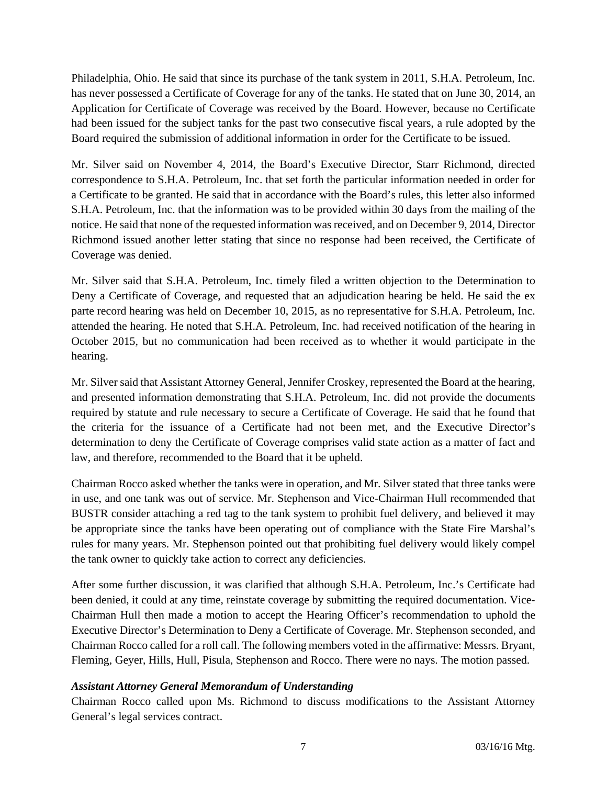Philadelphia, Ohio. He said that since its purchase of the tank system in 2011, S.H.A. Petroleum, Inc. has never possessed a Certificate of Coverage for any of the tanks. He stated that on June 30, 2014, an Application for Certificate of Coverage was received by the Board. However, because no Certificate had been issued for the subject tanks for the past two consecutive fiscal years, a rule adopted by the Board required the submission of additional information in order for the Certificate to be issued.

Mr. Silver said on November 4, 2014, the Board's Executive Director, Starr Richmond, directed correspondence to S.H.A. Petroleum, Inc. that set forth the particular information needed in order for a Certificate to be granted. He said that in accordance with the Board's rules, this letter also informed S.H.A. Petroleum, Inc. that the information was to be provided within 30 days from the mailing of the notice. He said that none of the requested information was received, and on December 9, 2014, Director Richmond issued another letter stating that since no response had been received, the Certificate of Coverage was denied.

Mr. Silver said that S.H.A. Petroleum, Inc. timely filed a written objection to the Determination to Deny a Certificate of Coverage, and requested that an adjudication hearing be held. He said the ex parte record hearing was held on December 10, 2015, as no representative for S.H.A. Petroleum, Inc. attended the hearing. He noted that S.H.A. Petroleum, Inc. had received notification of the hearing in October 2015, but no communication had been received as to whether it would participate in the hearing.

Mr. Silver said that Assistant Attorney General, Jennifer Croskey, represented the Board at the hearing, and presented information demonstrating that S.H.A. Petroleum, Inc. did not provide the documents required by statute and rule necessary to secure a Certificate of Coverage. He said that he found that the criteria for the issuance of a Certificate had not been met, and the Executive Director's determination to deny the Certificate of Coverage comprises valid state action as a matter of fact and law, and therefore, recommended to the Board that it be upheld.

Chairman Rocco asked whether the tanks were in operation, and Mr. Silver stated that three tanks were in use, and one tank was out of service. Mr. Stephenson and Vice-Chairman Hull recommended that BUSTR consider attaching a red tag to the tank system to prohibit fuel delivery, and believed it may be appropriate since the tanks have been operating out of compliance with the State Fire Marshal's rules for many years. Mr. Stephenson pointed out that prohibiting fuel delivery would likely compel the tank owner to quickly take action to correct any deficiencies.

After some further discussion, it was clarified that although S.H.A. Petroleum, Inc.'s Certificate had been denied, it could at any time, reinstate coverage by submitting the required documentation. Vice-Chairman Hull then made a motion to accept the Hearing Officer's recommendation to uphold the Executive Director's Determination to Deny a Certificate of Coverage. Mr. Stephenson seconded, and Chairman Rocco called for a roll call. The following members voted in the affirmative: Messrs. Bryant, Fleming, Geyer, Hills, Hull, Pisula, Stephenson and Rocco. There were no nays. The motion passed.

## *Assistant Attorney General Memorandum of Understanding*

Chairman Rocco called upon Ms. Richmond to discuss modifications to the Assistant Attorney General's legal services contract.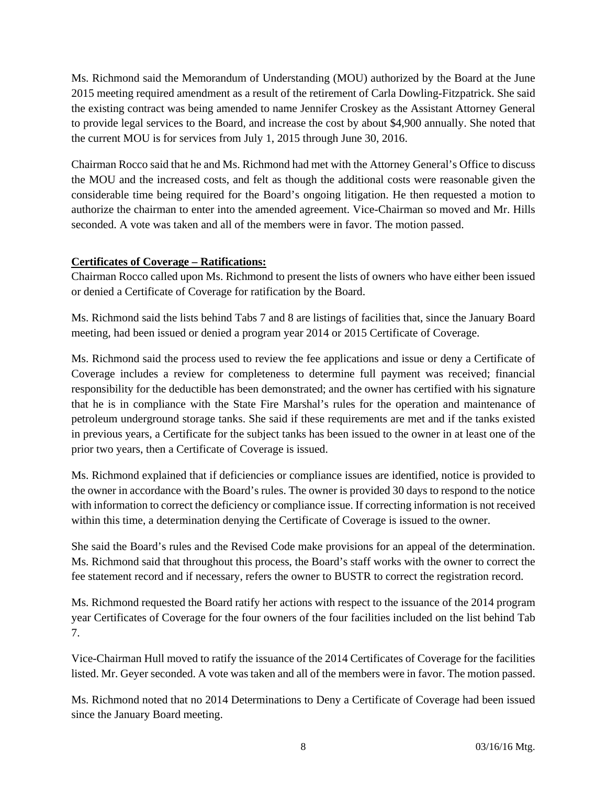Ms. Richmond said the Memorandum of Understanding (MOU) authorized by the Board at the June 2015 meeting required amendment as a result of the retirement of Carla Dowling-Fitzpatrick. She said the existing contract was being amended to name Jennifer Croskey as the Assistant Attorney General to provide legal services to the Board, and increase the cost by about \$4,900 annually. She noted that the current MOU is for services from July 1, 2015 through June 30, 2016.

Chairman Rocco said that he and Ms. Richmond had met with the Attorney General's Office to discuss the MOU and the increased costs, and felt as though the additional costs were reasonable given the considerable time being required for the Board's ongoing litigation. He then requested a motion to authorize the chairman to enter into the amended agreement. Vice-Chairman so moved and Mr. Hills seconded. A vote was taken and all of the members were in favor. The motion passed.

# **Certificates of Coverage – Ratifications:**

Chairman Rocco called upon Ms. Richmond to present the lists of owners who have either been issued or denied a Certificate of Coverage for ratification by the Board.

Ms. Richmond said the lists behind Tabs 7 and 8 are listings of facilities that, since the January Board meeting, had been issued or denied a program year 2014 or 2015 Certificate of Coverage.

Ms. Richmond said the process used to review the fee applications and issue or deny a Certificate of Coverage includes a review for completeness to determine full payment was received; financial responsibility for the deductible has been demonstrated; and the owner has certified with his signature that he is in compliance with the State Fire Marshal's rules for the operation and maintenance of petroleum underground storage tanks. She said if these requirements are met and if the tanks existed in previous years, a Certificate for the subject tanks has been issued to the owner in at least one of the prior two years, then a Certificate of Coverage is issued.

Ms. Richmond explained that if deficiencies or compliance issues are identified, notice is provided to the owner in accordance with the Board's rules. The owner is provided 30 days to respond to the notice with information to correct the deficiency or compliance issue. If correcting information is not received within this time, a determination denying the Certificate of Coverage is issued to the owner.

She said the Board's rules and the Revised Code make provisions for an appeal of the determination. Ms. Richmond said that throughout this process, the Board's staff works with the owner to correct the fee statement record and if necessary, refers the owner to BUSTR to correct the registration record.

Ms. Richmond requested the Board ratify her actions with respect to the issuance of the 2014 program year Certificates of Coverage for the four owners of the four facilities included on the list behind Tab 7.

Vice-Chairman Hull moved to ratify the issuance of the 2014 Certificates of Coverage for the facilities listed. Mr. Geyer seconded. A vote was taken and all of the members were in favor. The motion passed.

Ms. Richmond noted that no 2014 Determinations to Deny a Certificate of Coverage had been issued since the January Board meeting.